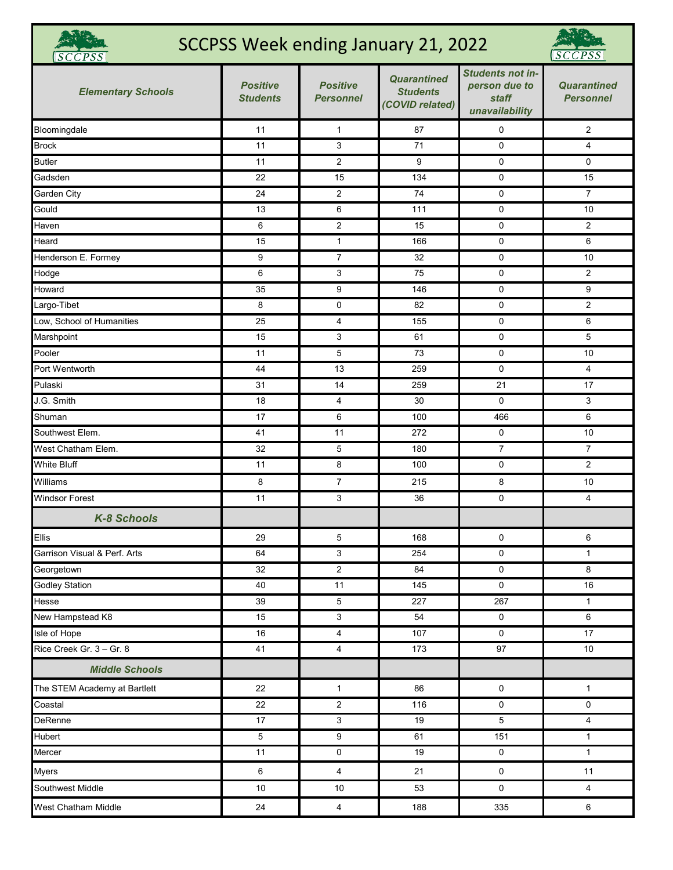| SCCPSS Week ending January 21, 2022<br><b>SCCPSS</b> |                                    |                                     |                                                          |                                                              |                                        |  |
|------------------------------------------------------|------------------------------------|-------------------------------------|----------------------------------------------------------|--------------------------------------------------------------|----------------------------------------|--|
| <b>Elementary Schools</b>                            | <b>Positive</b><br><b>Students</b> | <b>Positive</b><br><b>Personnel</b> | <b>Quarantined</b><br><b>Students</b><br>(COVID related) | Students not in-<br>person due to<br>staff<br>unavailability | <b>Quarantined</b><br><b>Personnel</b> |  |
| Bloomingdale                                         | 11                                 | $\mathbf{1}$                        | 87                                                       | 0                                                            | $\overline{2}$                         |  |
| <b>Brock</b>                                         | 11                                 | 3                                   | 71                                                       | $\mathbf 0$                                                  | $\overline{4}$                         |  |
| <b>Butler</b>                                        | 11                                 | 2                                   | 9                                                        | 0                                                            | $\mathbf 0$                            |  |
| Gadsden                                              | 22                                 | 15                                  | 134                                                      | 0                                                            | 15                                     |  |
| Garden City                                          | 24                                 | $\overline{c}$                      | 74                                                       | 0                                                            | $\overline{7}$                         |  |
| Gould                                                | 13                                 | 6                                   | 111                                                      | $\mathbf 0$                                                  | 10                                     |  |
| Haven                                                | 6                                  | 2                                   | 15                                                       | 0                                                            | $\overline{2}$                         |  |
| Heard                                                | 15                                 | $\mathbf{1}$                        | 166                                                      | 0                                                            | 6                                      |  |
| Henderson E. Formey                                  | 9                                  | $\overline{7}$                      | 32                                                       | $\mathbf 0$                                                  | 10                                     |  |
| Hodge                                                | 6                                  | 3                                   | 75                                                       | 0                                                            | $\overline{2}$                         |  |
| Howard                                               | 35                                 | 9                                   | 146                                                      | $\mathbf 0$                                                  | 9                                      |  |
| Largo-Tibet                                          | 8                                  | 0                                   | 82                                                       | 0                                                            | $\overline{2}$                         |  |
| Low, School of Humanities                            | 25                                 | 4                                   | 155                                                      | 0                                                            | 6                                      |  |
| Marshpoint                                           | 15                                 | 3                                   | 61                                                       | 0                                                            | 5                                      |  |
| Pooler                                               | 11                                 | 5                                   | 73                                                       | 0                                                            | 10                                     |  |
| Port Wentworth                                       | 44                                 | 13                                  | 259                                                      | 0                                                            | $\overline{4}$                         |  |
| Pulaski                                              | 31                                 | 14                                  | 259                                                      | 21                                                           | 17                                     |  |
| J.G. Smith                                           | 18                                 | 4                                   | 30                                                       | $\mathbf 0$                                                  | 3                                      |  |
| Shuman                                               | 17                                 | 6                                   | 100                                                      | 466                                                          | 6                                      |  |
| Southwest Elem.                                      | 41                                 | 11                                  | 272                                                      | 0                                                            | 10                                     |  |
| West Chatham Elem.                                   | 32                                 | 5                                   | 180                                                      | 7                                                            | $\overline{7}$                         |  |
| <b>White Bluff</b>                                   | 11                                 | 8                                   | 100                                                      | 0                                                            | $\overline{2}$                         |  |
| Williams                                             | 8                                  | $\overline{7}$                      | 215                                                      | 8                                                            | 10                                     |  |
| <b>Windsor Forest</b>                                | 11                                 | 3                                   | 36                                                       | 0                                                            | 4                                      |  |
| K-8 Schools                                          |                                    |                                     |                                                          |                                                              |                                        |  |
| <b>Ellis</b>                                         | 29                                 | 5                                   | 168                                                      | $\mathbf 0$                                                  | 6                                      |  |
| Garrison Visual & Perf. Arts                         | 64                                 | 3                                   | 254                                                      | 0                                                            | $\mathbf{1}$                           |  |
| Georgetown                                           | 32                                 | $\overline{\mathbf{c}}$             | 84                                                       | $\pmb{0}$                                                    | 8                                      |  |
| <b>Godley Station</b>                                | 40                                 | 11                                  | 145                                                      | $\mathbf 0$                                                  | 16                                     |  |
| Hesse                                                | 39                                 | $\,$ 5 $\,$                         | 227                                                      | 267                                                          | $\mathbf{1}$                           |  |
| New Hampstead K8                                     | 15                                 | 3                                   | 54                                                       | $\mathbf 0$                                                  | $\,6\,$                                |  |
| Isle of Hope                                         | 16                                 | 4                                   | 107                                                      | 0                                                            | $\overline{17}$                        |  |
| Rice Creek Gr. 3 - Gr. 8                             | 41                                 | $\overline{4}$                      | 173                                                      | 97                                                           | 10                                     |  |
| <b>Middle Schools</b>                                |                                    |                                     |                                                          |                                                              |                                        |  |
| The STEM Academy at Bartlett                         | 22                                 | $\mathbf{1}$                        | 86                                                       | 0                                                            | $\mathbf{1}$                           |  |
| Coastal                                              | $\overline{22}$                    | $\mathbf{2}$                        | $\frac{116}{116}$                                        | 0                                                            | 0                                      |  |
| <b>DeRenne</b>                                       | 17                                 | 3                                   | 19                                                       | $\overline{5}$                                               | $\overline{4}$                         |  |
| Hubert                                               | 5                                  | 9                                   | 61                                                       | 151                                                          | $\mathbf{1}$                           |  |
| Mercer                                               | 11                                 | 0                                   | 19                                                       | $\pmb{0}$                                                    | $\mathbf{1}$                           |  |
| <b>Myers</b>                                         | 6                                  | $\overline{4}$                      | 21                                                       | $\pmb{0}$                                                    | 11                                     |  |
| Southwest Middle                                     | $10$                               | 10                                  | 53                                                       | $\mathsf 0$                                                  | $\overline{4}$                         |  |
| West Chatham Middle                                  | 24                                 | $\overline{\mathbf{4}}$             | 188                                                      | 335                                                          | 6                                      |  |